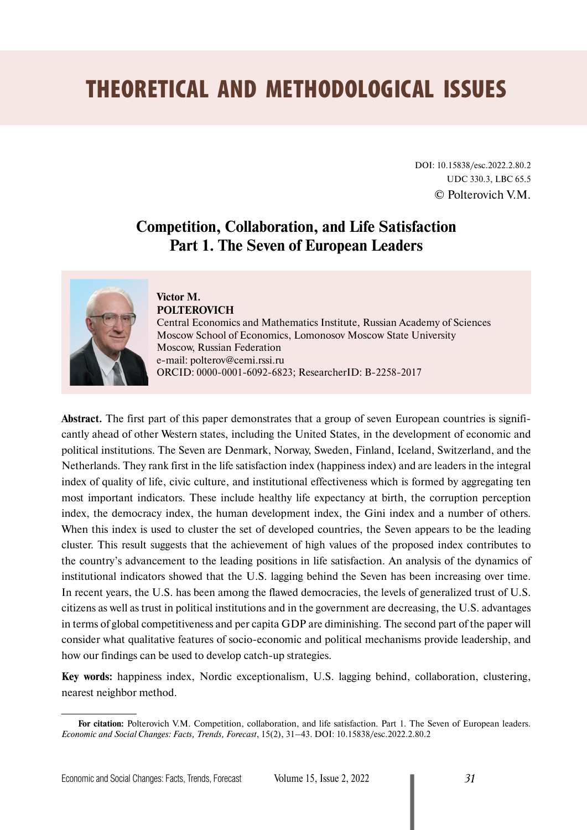# THEORETICAL AND METHODOLOGICAL ISSUES

DOI: 10.15838/esc.2022.2.80.2 UDC 330.3, LBC 65.5 © Polterovich V.M.

# **Competition, Collaboration, and Life Satisfaction Part 1. The Seven of European Leaders**



#### **Victor M. POLTEROVICH**

Central Economics and Mathematics Institute, Russian Academy of Sciences Moscow School of Economics, Lomonosov Moscow State University Moscow, Russian Federation e-mail: [polterov@cemi.rssi.ru](mailto:polterov@cemi.rssi.ru) ORCID: [0000-0001-6092-6823;](file:///D:/1_%d1%80%d0%b0%d0%b1%d0%be%d1%87%d0%b0%d1%8f/2022/%d0%96%d0%a3%d0%a0%d0%9d%d0%90%d0%9b/%d0%ad%d0%b8%d0%a1%d0%9f%2c%202%20%d0%bd%d0%be%d0%bc%d0%b5%d1%80%202022/%d1%81%d1%82%d0%b0%d1%82%d1%8c%d0%b8/0000-0001-6092-6823) ResearcherID: [B-2258-2017](https://publons.com/researcher/2162919/victor-m-polterovich/)

**Abstract.** The first part of this paper demonstrates that a group of seven European countries is significantly ahead of other Western states, including the United States, in the development of economic and political institutions. The Seven are Denmark, Norway, Sweden, Finland, Iceland, Switzerland, and the Netherlands. They rank first in the life satisfaction index (happiness index) and are leaders in the integral index of quality of life, civic culture, and institutional effectiveness which is formed by aggregating ten most important indicators. These include healthy life expectancy at birth, the corruption perception index, the democracy index, the human development index, the Gini index and a number of others. When this index is used to cluster the set of developed countries, the Seven appears to be the leading cluster. This result suggests that the achievement of high values of the proposed index contributes to the country's advancement to the leading positions in life satisfaction. An analysis of the dynamics of institutional indicators showed that the U.S. lagging behind the Seven has been increasing over time. In recent years, the U.S. has been among the flawed democracies, the levels of generalized trust of U.S. citizens as well as trust in political institutions and in the government are decreasing, the U.S. advantages in terms of global competitiveness and per capita GDP are diminishing. The second part of the paper will consider what qualitative features of socio-economic and political mechanisms provide leadership, and how our findings can be used to develop catch-up strategies.

**Key words:** happiness index, Nordic exceptionalism, U.S. lagging behind, collaboration, clustering, nearest neighbor method.

**For citation:** Polterovich V.M. Competition, collaboration, and life satisfaction. Part 1. The Seven of European leaders. *Economic and Social Changes: Facts, Trends, Forecast*, 15(2), 31–43. DOI: 10.15838/esc.2022.2.80.2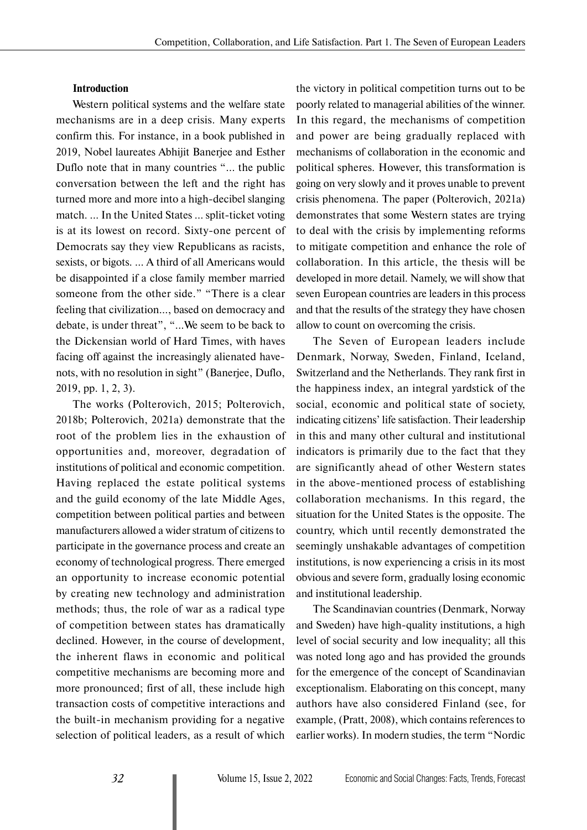#### **Introduction**

Western political systems and the welfare state mechanisms are in a deep crisis. Many experts confirm this. For instance, in a book published in 2019, Nobel laureates Abhijit Banerjee and Esther Duflo note that in many countries "... the public conversation between the left and the right has turned more and more into a high-decibel slanging match. ... In the United States … split-ticket voting is at its lowest on record. Sixty-one percent of Democrats say they view Republicans as racists, sexists, or bigots. … A third of all Americans would be disappointed if a close family member married someone from the other side." "There is a clear feeling that civilization…, based on democracy and debate, is under threat", "...We seem to be back to the Dickensian world of Hard Times, with haves facing off against the increasingly alienated havenots, with no resolution in sight" (Banerjee, Duflo, 2019, pp. 1, 2, 3).

The works (Polterovich, 2015; Polterovich, 2018b; Polterovich, 2021a) demonstrate that the root of the problem lies in the exhaustion of opportunities and, moreover, degradation of institutions of political and economic competition. Having replaced the estate political systems and the guild economy of the late Middle Ages, competition between political parties and between manufacturers allowed a wider stratum of citizens to participate in the governance process and create an economy of technological progress. There emerged an opportunity to increase economic potential by creating new technology and administration methods; thus, the role of war as a radical type of competition between states has dramatically declined. However, in the course of development, the inherent flaws in economic and political competitive mechanisms are becoming more and more pronounced; first of all, these include high transaction costs of competitive interactions and the built-in mechanism providing for a negative selection of political leaders, as a result of which

the victory in political competition turns out to be poorly related to managerial abilities of the winner. In this regard, the mechanisms of competition and power are being gradually replaced with mechanisms of collaboration in the economic and political spheres. However, this transformation is going on very slowly and it proves unable to prevent crisis phenomena. The paper (Polterovich, 2021a) demonstrates that some Western states are trying to deal with the crisis by implementing reforms to mitigate competition and enhance the role of collaboration. In this article, the thesis will be developed in more detail. Namely, we will show that seven European countries are leaders in this process and that the results of the strategy they have chosen allow to count on overcoming the crisis.

The Seven of European leaders include Denmark, Norway, Sweden, Finland, Iceland, Switzerland and the Netherlands. They rank first in the happiness index, an integral yardstick of the social, economic and political state of society, indicating citizens' life satisfaction. Their leadership in this and many other cultural and institutional indicators is primarily due to the fact that they are significantly ahead of other Western states in the above-mentioned process of establishing collaboration mechanisms. In this regard, the situation for the United States is the opposite. The country, which until recently demonstrated the seemingly unshakable advantages of competition institutions, is now experiencing a crisis in its most obvious and severe form, gradually losing economic and institutional leadership.

The Scandinavian countries (Denmark, Norway and Sweden) have high-quality institutions, a high level of social security and low inequality; all this was noted long ago and has provided the grounds for the emergence of the concept of Scandinavian exceptionalism. Elaborating on this concept, many authors have also considered Finland (see, for example, (Pratt, 2008), which contains references to earlier works). In modern studies, the term "Nordic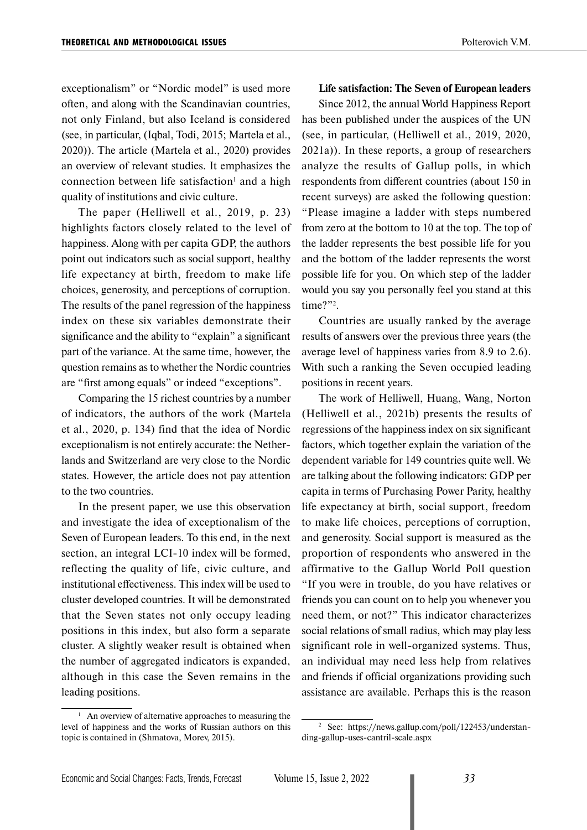exceptionalism" or "Nordic model" is used more often, and along with the Scandinavian countries, not only Finland, but also Iceland is considered (see, in particular, (Iqbal, Todi, 2015; Martela et al., 2020)). The article (Martela et al., 2020) provides an overview of relevant studies. It emphasizes the connection between life satisfaction<sup>1</sup> and a high quality of institutions and civic culture.

The paper (Helliwell et al., 2019, p. 23) highlights factors closely related to the level of happiness. Along with per capita GDP, the authors point out indicators such as social support, healthy life expectancy at birth, freedom to make life choices, generosity, and perceptions of corruption. The results of the panel regression of the happiness index on these six variables demonstrate their significance and the ability to "explain" a significant part of the variance. At the same time, however, the question remains as to whether the Nordic countries are "first among equals" or indeed "exceptions".

Comparing the 15 richest countries by a number of indicators, the authors of the work (Martela et al., 2020, p. 134) find that the idea of Nordic exceptionalism is not entirely accurate: the Netherlands and Switzerland are very close to the Nordic states. However, the article does not pay attention to the two countries.

In the present paper, we use this observation and investigate the idea of exceptionalism of the Seven of European leaders. To this end, in the next section, an integral LCI-10 index will be formed, reflecting the quality of life, civic culture, and institutional effectiveness. This index will be used to cluster developed countries. It will be demonstrated that the Seven states not only occupy leading positions in this index, but also form a separate cluster. A slightly weaker result is obtained when the number of aggregated indicators is expanded, although in this case the Seven remains in the leading positions.

#### **Life satisfaction: The Seven of European leaders**

Since 2012, the annual World Happiness Report has been published under the auspices of the UN (see, in particular, (Helliwell et al., 2019, 2020, 2021a)). In these reports, a group of researchers analyze the results of Gallup polls, in which respondents from different countries (about 150 in recent surveys) are asked the following question: "Please imagine a ladder with steps numbered from zero at the bottom to 10 at the top. The top of the ladder represents the best possible life for you and the bottom of the ladder represents the worst possible life for you. On which step of the ladder would you say you personally feel you stand at this time?"?.

Countries are usually ranked by the average results of answers over the previous three years (the average level of happiness varies from 8.9 to 2.6). With such a ranking the Seven occupied leading positions in recent years.

The work of Helliwell, Huang, Wang, Norton (Helliwell et al., 2021b) presents the results of regressions of the happiness index on six significant factors, which together explain the variation of the dependent variable for 149 countries quite well. We are talking about the following indicators: GDP per capita in terms of Purchasing Power Parity, healthy life expectancy at birth, social support, freedom to make life choices, perceptions of corruption, and generosity. Social support is measured as the proportion of respondents who answered in the affirmative to the Gallup World Poll question "If you were in trouble, do you have relatives or friends you can count on to help you whenever you need them, or not?" This indicator characterizes social relations of small radius, which may play less significant role in well-organized systems. Thus, an individual may need less help from relatives and friends if official organizations providing such assistance are available. Perhaps this is the reason

 $1$  An overview of alternative approaches to measuring the level of happiness and the works of Russian authors on this topic is contained in (Shmatova, Morev, 2015).

<sup>2</sup> See: https://news.gallup.com/poll/122453/understanding-gallup-uses-cantril-scale.aspx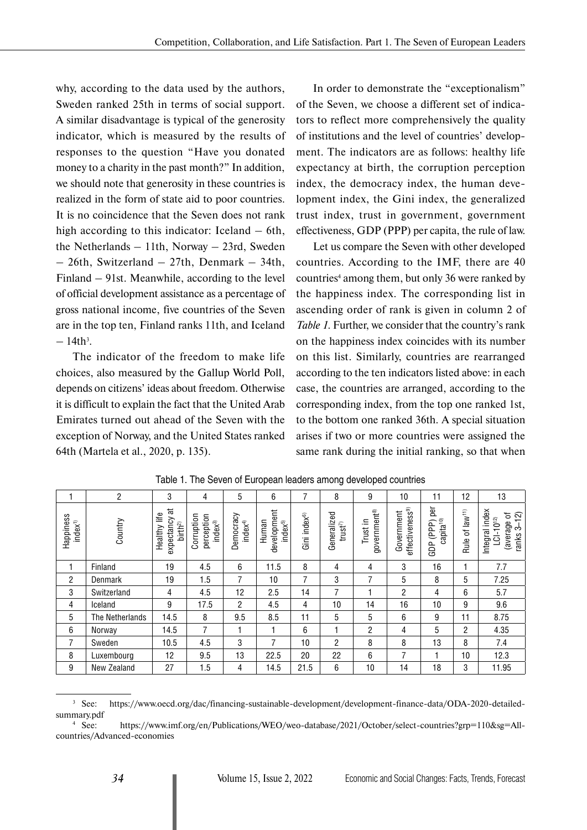why, according to the data used by the authors, Sweden ranked 25th in terms of social support. A similar disadvantage is typical of the generosity indicator, which is measured by the results of responses to the question "Have you donated money to a charity in the past month?" In addition, we should note that generosity in these countries is realized in the form of state aid to poor countries. It is no coincidence that the Seven does not rank high according to this indicator: Iceland – 6th, the Netherlands – 11th, Norway – 23rd, Sweden – 26th, Switzerland – 27th, Denmark – 34th, Finland – 91st. Meanwhile, according to the level of official development assistance as a percentage of gross national income, five countries of the Seven are in the top ten, Finland ranks 11th, and Iceland  $-14th^3$ .

The indicator of the freedom to make life choices, also measured by the Gallup World Poll, depends on citizens' ideas about freedom. Otherwise it is difficult to explain the fact that the United Arab Emirates turned out ahead of the Seven with the exception of Norway, and the United States ranked 64th (Martela et al., 2020, p. 135).

In order to demonstrate the "exceptionalism" of the Seven, we choose a different set of indicators to reflect more comprehensively the quality of institutions and the level of countries' development. The indicators are as follows: healthy life expectancy at birth, the corruption perception index, the democracy index, the human development index, the Gini index, the generalized trust index, trust in government, government effectiveness, GDP (PPP) per capita, the rule of law.

Let us compare the Seven with other developed countries. According to the IMF, there are 40 countries<sup>4</sup> among them, but only 36 were ranked by the happiness index. The corresponding list in ascending order of rank is given in column 2 of *Table 1*. Further, we consider that the country's rank on the happiness index coincides with its number on this list. Similarly, countries are rearranged according to the ten indicators listed above: in each case, the countries are arranged, according to the corresponding index, from the top one ranked 1st, to the bottom one ranked 36th. A special situation arises if two or more countries were assigned the same rank during the initial ranking, so that when

|                                 | 2               | 3                                                             | 4                                       | 5                               | 6                                   | 7                        | 8                        | 9                       | 10                                        | 11                                              | 12                                           | 13                                                                  |
|---------------------------------|-----------------|---------------------------------------------------------------|-----------------------------------------|---------------------------------|-------------------------------------|--------------------------|--------------------------|-------------------------|-------------------------------------------|-------------------------------------------------|----------------------------------------------|---------------------------------------------------------------------|
| Happiness<br>index <sup>1</sup> | Country         | $\vec{a}$<br>Healthy life<br>expectancy<br>birth <sup>2</sup> | Corruption<br>perception<br>$index^{3}$ | Democracy<br>index <sup>4</sup> | development<br>Human<br>$index^{5}$ | Gini index <sup>6)</sup> | Generalized<br>trust $7$ | government®<br>Trust in | effectiveness <sup>9)</sup><br>Government | per<br>P (PPP)  <br>capita <sup>10</sup><br>GDP | of $law$ <sup><math>(1)</math></sup><br>Rule | Integral index<br>ъ<br>(2)<br>$LCI-10^{12}$<br>(average<br>ranks 3- |
| 1                               | Finland         | 19                                                            | 4.5                                     | 6                               | 11.5                                | 8                        | 4                        | 4                       | 3                                         | 16                                              |                                              | 7.7                                                                 |
| $\overline{2}$                  | Denmark         | 19                                                            | 1.5                                     | 7                               | 10                                  | 7                        | 3                        | 7                       | 5                                         | 8                                               | 5                                            | 7.25                                                                |
| 3                               | Switzerland     | 4                                                             | 4.5                                     | 12                              | 2.5                                 | 14                       | 7                        |                         | 2                                         | 4                                               | 6                                            | 5.7                                                                 |
| 4                               | Iceland         | 9                                                             | 17.5                                    | $\overline{2}$                  | 4.5                                 | 4                        | 10                       | 14                      | 16                                        | 10                                              | 9                                            | 9.6                                                                 |
| 5                               | The Netherlands | 14.5                                                          | 8                                       | 9.5                             | 8.5                                 | 11                       | 5                        | 5                       | 6                                         | 9                                               | 11                                           | 8.75                                                                |
| 6                               | Norway          | 14.5                                                          | $\overline{7}$                          |                                 |                                     | 6                        |                          | $\overline{2}$          | 4                                         | 5                                               | $\overline{2}$                               | 4.35                                                                |
| 7                               | Sweden          | 10.5                                                          | 4.5                                     | 3                               | 7                                   | 10                       | $\overline{2}$           | 8                       | 8                                         | 13                                              | 8                                            | 7.4                                                                 |
| 8                               | Luxembourg      | 12                                                            | 9.5                                     | 13                              | 22.5                                | 20                       | 22                       | 6                       | 7                                         |                                                 | 10                                           | 12.3                                                                |
| 9                               | New Zealand     | 27                                                            | 1.5                                     | 4                               | 14.5                                | 21.5                     | 6                        | 10                      | 14                                        | 18                                              | 3                                            | 11.95                                                               |

Table 1. The Seven of European leaders among developed countries

<sup>3</sup> See: https://www.oecd.org/dac/financing-sustainable-development/development-finance-data/ODA-2020-detailedsummary.pdf

<sup>4</sup> See: https://www.imf.org/en/Publications/WEO/weo-database/2021/October/select-countries?grp=110&sg=Allcountries/Advanced-economies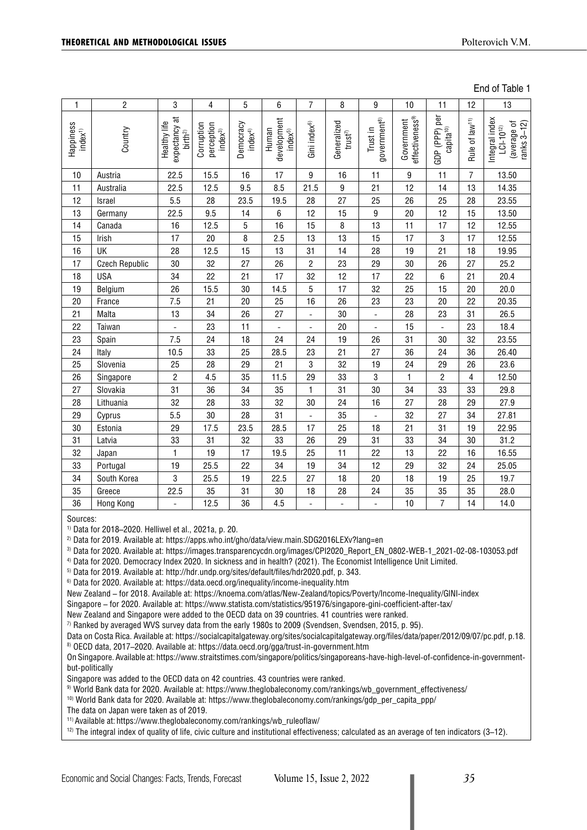End of Table 1

| 1                                 | $\overline{c}$        | 3                                           | 4                                       | 5                               | 6                                   | $\overline{7}$           | 8                                   | 9                                    | 10                                        | 11                                        | 12                         | 13                                                             |
|-----------------------------------|-----------------------|---------------------------------------------|-----------------------------------------|---------------------------------|-------------------------------------|--------------------------|-------------------------------------|--------------------------------------|-------------------------------------------|-------------------------------------------|----------------------------|----------------------------------------------------------------|
| Happiness<br>index <sup>(1)</sup> | Country               | $\frac{1}{2}$ expectancy at<br>Healthy life | perception<br>Corruption<br>$index^{3}$ | Democracy<br>index <sup>4</sup> | development<br>Human<br>$index^{5}$ | Gini index <sup>6)</sup> | Generalized<br>trust $\overline{v}$ | government <sup>8)</sup><br>Trust in | effectiveness <sup>9)</sup><br>Government | per<br>capita <sup>10)</sup><br>GDP (PPP) | Rule of law <sup>11)</sup> | Integral index<br>ranks 3-12)<br>average of<br>$LCI - 10^{12}$ |
| 10                                | Austria               | 22.5                                        | 15.5                                    | 16                              | 17                                  | 9                        | 16                                  | 11                                   | 9                                         | 11                                        | $\overline{7}$             | 13.50                                                          |
| 11                                | Australia             | 22.5                                        | 12.5                                    | 9.5                             | 8.5                                 | 21.5                     | 9                                   | 21                                   | 12                                        | 14                                        | 13                         | 14.35                                                          |
| 12                                | Israel                | 5.5                                         | 28                                      | 23.5                            | 19.5                                | 28                       | 27                                  | 25                                   | 26                                        | 25                                        | 28                         | 23.55                                                          |
| 13                                | Germany               | 22.5                                        | 9.5                                     | 14                              | 6                                   | 12                       | 15                                  | $\boldsymbol{9}$                     | 20                                        | 12                                        | 15                         | 13.50                                                          |
| 14                                | Canada                | 16                                          | 12.5                                    | 5                               | 16                                  | 15                       | 8                                   | 13                                   | 11                                        | 17                                        | 12                         | 12.55                                                          |
| 15                                | Irish                 | 17                                          | 20                                      | 8                               | 2.5                                 | 13                       | 13                                  | 15                                   | 17                                        | 3                                         | 17                         | 12.55                                                          |
| 16                                | UK                    | 28                                          | 12.5                                    | 15                              | 13                                  | 31                       | 14                                  | 28                                   | 19                                        | 21                                        | 18                         | 19.95                                                          |
| 17                                | <b>Czech Republic</b> | 30                                          | 32                                      | 27                              | 26                                  | $\overline{c}$           | 23                                  | 29                                   | 30                                        | 26                                        | 27                         | 25.2                                                           |
| 18                                | <b>USA</b>            | 34                                          | 22                                      | 21                              | 17                                  | 32                       | 12                                  | 17                                   | 22                                        | 6                                         | 21                         | 20.4                                                           |
| 19                                | Belgium               | 26                                          | 15.5                                    | 30                              | 14.5                                | 5                        | 17                                  | 32                                   | 25                                        | 15                                        | 20                         | 20.0                                                           |
| 20                                | France                | 7.5                                         | 21                                      | 20                              | 25                                  | 16                       | 26                                  | 23                                   | 23                                        | 20                                        | 22                         | 20.35                                                          |
| 21                                | Malta                 | 13                                          | 34                                      | 26                              | 27                                  |                          | 30                                  | $\overline{a}$                       | 28                                        | 23                                        | 31                         | 26.5                                                           |
| 22                                | Taiwan                | $\overline{\phantom{a}}$                    | 23                                      | 11                              | $\overline{a}$                      | $\overline{a}$           | 20                                  | $\overline{a}$                       | 15                                        |                                           | 23                         | 18.4                                                           |
| 23                                | Spain                 | 7.5                                         | 24                                      | 18                              | 24                                  | 24                       | 19                                  | 26                                   | 31                                        | 30                                        | 32                         | 23.55                                                          |
| 24                                | Italy                 | 10.5                                        | 33                                      | 25                              | 28.5                                | 23                       | 21                                  | 27                                   | 36                                        | 24                                        | 36                         | 26.40                                                          |
| 25                                | Slovenia              | 25                                          | 28                                      | 29                              | 21                                  | 3                        | 32                                  | 19                                   | 24                                        | 29                                        | 26                         | 23.6                                                           |
| 26                                | Singapore             | $\overline{\mathbf{c}}$                     | 4.5                                     | 35                              | 11.5                                | 29                       | 33                                  | 3                                    | 1                                         | $\overline{2}$                            | 4                          | 12.50                                                          |
| 27                                | Slovakia              | 31                                          | 36                                      | 34                              | 35                                  | $\mathbf{1}$             | 31                                  | 30                                   | 34                                        | 33                                        | 33                         | 29.8                                                           |
| 28                                | Lithuania             | 32                                          | 28                                      | 33                              | 32                                  | 30                       | 24                                  | 16                                   | 27                                        | 28                                        | 29                         | 27.9                                                           |
| 29                                | Cyprus                | 5.5                                         | 30                                      | 28                              | 31                                  |                          | 35                                  | $\overline{\phantom{0}}$             | 32                                        | 27                                        | 34                         | 27.81                                                          |
| 30                                | Estonia               | 29                                          | 17.5                                    | 23.5                            | 28.5                                | 17                       | 25                                  | 18                                   | 21                                        | 31                                        | 19                         | 22.95                                                          |
| 31                                | Latvia                | 33                                          | 31                                      | 32                              | 33                                  | 26                       | 29                                  | 31                                   | 33                                        | 34                                        | 30                         | 31.2                                                           |
| 32                                | Japan                 | 1                                           | 19                                      | 17                              | 19.5                                | 25                       | 11                                  | 22                                   | 13                                        | 22                                        | 16                         | 16.55                                                          |
| 33                                | Portugal              | 19                                          | 25.5                                    | 22                              | 34                                  | 19                       | 34                                  | 12                                   | 29                                        | 32                                        | 24                         | 25.05                                                          |
| 34                                | South Korea           | 3                                           | 25.5                                    | 19                              | 22.5                                | 27                       | 18                                  | 20                                   | 18                                        | 19                                        | 25                         | 19.7                                                           |
| 35                                | Greece                | 22.5                                        | 35                                      | 31                              | 30                                  | 18                       | 28                                  | 24                                   | 35                                        | 35                                        | 35                         | 28.0                                                           |
| 36                                | Hong Kong             | $\frac{1}{2}$                               | 12.5                                    | 36                              | 4.5                                 | $\overline{a}$           | $\overline{a}$                      | $\blacksquare$                       | 10                                        | $\overline{7}$                            | 14                         | 14.0                                                           |

Sources:

1) Data for 2018–2020. Helliwel et al., 2021a, p. 20.

2) Data for 2019. Available at: https://apps.who.int/gho/data/view.main.SDG2016LEXv?lang=en

<sup>3)</sup> Data for 2020. Available at: [https://images.transparencycdn.org/images/CPI2020\\_Report\\_EN\\_0802-WEB-1\\_2021-02-08-103053.pdf](https://images.transparencycdn.org/images/CPI2020_Report_EN_0802-WEB-1_2021-02-08-103053.pdf)

4) Data for 2020. Democracy Index 2020. In sickness and in health? (2021). The Economist Intelligence Unit Limited.

5) Data for 2019. Available at:<http://hdr.undp.org/sites/default/files/hdr2020.pdf>, p. 343.

6) Data for 2020. Available at:<https://data.oecd.org/inequality/income-inequality.htm>

New Zealand – for 2018. Available at:<https://knoema.com/atlas/New-Zealand/topics/Poverty/Income-Inequality/GINI-index>

Singapore – for 2020. Available at: <https://www.statista.com/statistics/951976/singapore-gini-coefficient-after-tax/>

New Zealand and Singapore were added to the OECD data on 39 countries. 41 countries were ranked.

 $7$  Ranked by averaged WVS survey data from the early 1980s to 2009 (Svendsen, Svendsen, 2015, p. 95).

Data on Costa Rica. Available at: [https://socialcapitalgateway.org/sites/socialcapitalgateway.org/files/data/paper/2012/09/07/pc.pdf,](https://socialcapitalgateway.org/sites/socialcapitalgateway.org/files/data/paper/2012/09/07/pc.pdf) p.18.

8) OECD data, 2017–2020. Available at:<https://data.oecd.org/gga/trust-in-government.htm>

On Singapore. Available at: [https://www.straitstimes.com/singapore/politics/singaporeans-have-high-level-of-confidence-in-government](https://www.straitstimes.com/singapore/politics/singaporeans-have-high-level-of-confidence-in-government-but-politically)[but-politically](https://www.straitstimes.com/singapore/politics/singaporeans-have-high-level-of-confidence-in-government-but-politically)

Singapore was added to the OECD data on 42 countries. 43 countries were ranked.

9) World Bank data for 2020. Available at: [https://www.theglobaleconomy.com/rankings/wb\\_government\\_effectiveness/](https://www.theglobaleconomy.com/rankings/wb_government_effectiveness/)

 $10)$  World Bank data for 2020. Available at: [https://www.theglobaleconomy.com/rankings/gdp\\_per\\_capita\\_ppp/](https://www.theglobaleconomy.com/rankings/gdp_per_capita_ppp/)

The data on Japan were taken as of 2019.

11) Available at: [https://www.theglobaleconomy.com/rankings/wb\\_ruleoflaw/](https://www.theglobaleconomy.com/rankings/wb_ruleoflaw/)

 $12$ ) The integral index of quality of life, civic culture and institutional effectiveness; calculated as an average of ten indicators  $(3-12)$ .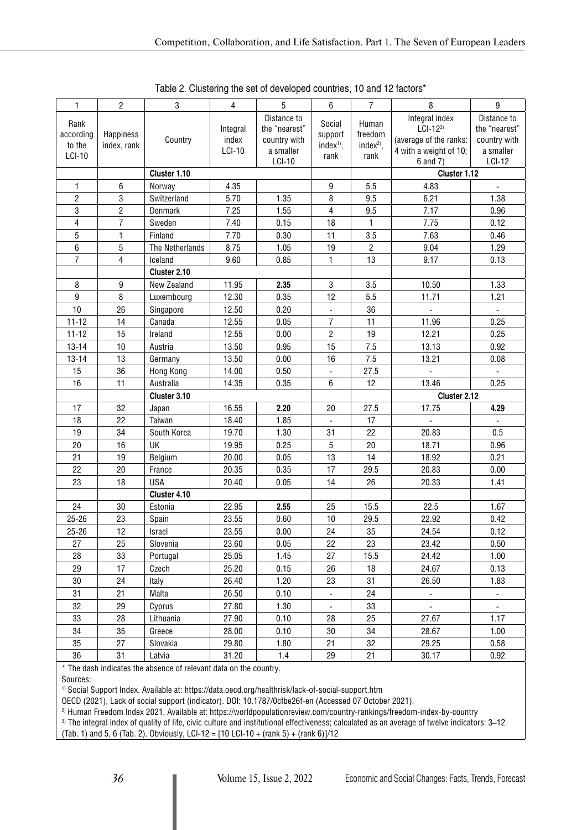| 1                 | $\overline{2}$ | 3               | $\overline{4}$ | 5                            | 6                        | $\overline{7}$        | 8                           | $\boldsymbol{9}$             |  |
|-------------------|----------------|-----------------|----------------|------------------------------|--------------------------|-----------------------|-----------------------------|------------------------------|--|
| Rank<br>according | Happiness      |                 | Integral       | Distance to<br>the "nearest" | Social<br>support        | Human<br>freedom      | Integral index<br>$LCI-123$ | Distance to<br>the "nearest" |  |
| to the            | index, rank    | Country         | index          | country with                 | $index1$ ,               | index <sup>2)</sup> , | (average of the ranks:      | country with                 |  |
| LCI-10            |                |                 | <b>LCI-10</b>  | a smaller                    | rank                     | rank                  | 4 with a weight of 10;      | a smaller                    |  |
|                   |                |                 |                | <b>LCI-10</b>                |                          |                       | 6 and 7)                    | <b>LCI-12</b>                |  |
|                   |                | Cluster 1.10    |                |                              |                          |                       | Cluster 1.12                |                              |  |
| 1                 | 6              | Norway          | 4.35           |                              | 9                        | 5.5                   | 4.83                        | $\Box$                       |  |
| 2                 | 3              | Switzerland     | 5.70           | 1.35                         | 8                        | 9.5                   | 6.21                        | 1.38                         |  |
| 3                 | $\overline{2}$ | Denmark         | 7.25           | 1.55                         | 4                        | 9.5                   | 7.17                        | 0.96                         |  |
| 4                 | $\overline{7}$ | Sweden          | 7.40           | 0.15                         | 18                       | $\mathbf{1}$          | 7.75                        | 0.12                         |  |
| 5                 | $\mathbf{1}$   | Finland         | 7.70           | 0.30                         | 11                       | 3.5                   | 7.63                        | 0.46                         |  |
| 6                 | 5              | The Netherlands | 8.75           | 1.05                         | 19                       | $\overline{c}$        | 9.04                        | 1.29                         |  |
| $\overline{7}$    | 4              | Iceland         | 9.60           | 0.85                         | $\mathbf{1}$             | 13                    | 9.17                        | 0.13                         |  |
|                   |                | Cluster 2.10    |                |                              |                          |                       |                             |                              |  |
| 8                 | 9              | New Zealand     | 11.95          | 2.35                         | 3                        | 3.5                   | 10.50                       | 1.33                         |  |
| 9                 | 8              | Luxembourg      | 12.30          | 0.35                         | 12                       | 5.5                   | 11.71                       | 1.21                         |  |
| 10                | 26             | Singapore       | 12.50          | 0.20                         | $\overline{\phantom{0}}$ | 36                    |                             |                              |  |
| $11 - 12$         | 14             | Canada          | 12.55          | 0.05                         | 7                        | 11                    | 11.96                       | 0.25                         |  |
| $11 - 12$         | 15             | Ireland         | 12.55          | 0.00                         | $\overline{c}$           | 19                    | 12.21                       | 0.25                         |  |
| $13 - 14$         | 10             | Austria         | 13.50          | 0.95                         | 15                       | 7.5                   | 13.13                       | 0.92                         |  |
| $13 - 14$         | 13             | Germany         | 13.50          | 0.00                         | 16                       | 7.5                   | 13.21                       | 0.08                         |  |
| 15                | 36             | Hong Kong       | 14.00          | 0.50                         | $\overline{a}$           | 27.5                  | $\overline{a}$              | $\overline{a}$               |  |
| 16                | 11             | Australia       | 14.35          | 0.35                         | 6                        | 12                    | 13.46                       | 0.25                         |  |
|                   |                | Cluster 3.10    |                |                              |                          |                       | Cluster 2.12                |                              |  |
| 17                | 32             | Japan           | 16.55          | 2.20                         | 20                       | 27.5                  | 17.75                       | 4.29                         |  |
| 18                | 22             | Taiwan          | 18.40          | 1.85                         |                          | 17                    |                             |                              |  |
| 19                | 34             | South Korea     | 19.70          | 1.30                         | 31                       | 22                    | 20.83                       | 0.5                          |  |
| 20                | 16             | UK              | 19.95          | 0.25                         | 5                        | 20                    | 18.71                       | 0.96                         |  |
| 21                | 19             | Belgium         | 20.00          | 0.05                         | 13                       | 14                    | 18.92                       | 0.21                         |  |
| 22                | 20             | France          | 20.35          | 0.35                         | 17                       | 29.5                  | 20.83                       | 0.00                         |  |
| 23                | 18             | <b>USA</b>      | 20.40          | 0.05                         | 14                       | 26                    | 20.33                       | 1.41                         |  |
|                   |                | Cluster 4.10    |                |                              |                          |                       |                             |                              |  |
| 24                | 30             | Estonia         | 22.95          | 2.55                         | 25                       | 15.5                  | 22.5                        | 1.67                         |  |
| $25 - 26$         | 23             | Spain           | 23.55          | 0.60                         | $10$                     | 29.5                  | 22.92                       | 0.42                         |  |
| $25 - 26$         | 12             | Israel          | 23.55          | 0.00                         | 24                       | 35                    | 24.54                       | 0.12                         |  |
| 27                | 25             | Slovenia        | 23.60          | 0.05                         | 22                       | 23                    | 23.42                       | 0.50                         |  |
| 28                | 33             | Portugal        | 25.05          | 1.45                         | 27                       | 15.5                  | 24.42                       | 1.00                         |  |
| 29                | 17             | Czech           | 25.20          | 0.15                         | 26                       | 18                    | 24.67                       | 0.13                         |  |
| 30                | 24             | Italy           | 26.40          | 1.20                         | 23                       | 31                    | 26.50                       | 1.83                         |  |
| 31                | 21             | Malta           | 26.50          | 0.10                         | $\overline{\phantom{0}}$ | 24                    | $\overline{\phantom{a}}$    | $\blacksquare$               |  |
| 32                | 29             | Cyprus          | 27.80          | 1.30                         | $\blacksquare$           | 33                    | $\blacksquare$              | $\overline{\phantom{a}}$     |  |
| 33                | 28             | Lithuania       | 27.90          | 0.10                         | 28                       | 25                    | 27.67                       | 1.17                         |  |
| 34                | 35             | Greece          | 28.00          | 0.10                         | $30\,$                   | 34                    | 28.67                       | 1.00                         |  |
| 35                | 27             | Slovakia        | 29.80          | 1.80                         | 21                       | 32                    | 29.25                       | 0.58                         |  |
| $36\,$            | 31             | Latvia          | 31.20          | 1.4                          | 29                       | 21                    | 30.17                       | 0.92                         |  |

Table 2. Clustering the set of developed countries, 10 and 12 factors\*

\* The dash indicates the absence of relevant data on the country.

Sources:

1) Social Support Index. Available at:<https://data.oecd.org/healthrisk/lack-of-social-support.htm>

OECD (2021), Lack of social support (indicator). DOI: 10.1787/0cfbe26f-en (Accessed 07 October 2021).

2) Human Freedom Index 2021. Available at: <https://worldpopulationreview.com/country-rankings/freedom-index-by-country>

3) The integral index of quality of life, civic culture and institutional effectiveness; calculated as an average of twelve indicators: 3–12

(Tab. 1) and 5, 6 (Tab. 2). Obviously, LCI-12 =  $[10$  LCI-10 + (rank 5) + (rank 6)]/12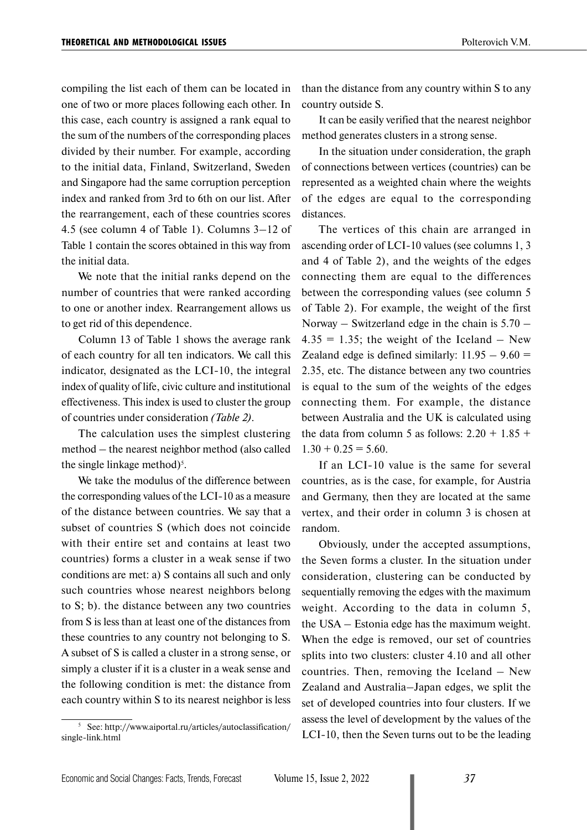compiling the list each of them can be located in one of two or more places following each other. In this case, each country is assigned a rank equal to the sum of the numbers of the corresponding places divided by their number. For example, according to the initial data, Finland, Switzerland, Sweden and Singapore had the same corruption perception index and ranked from 3rd to 6th on our list. After the rearrangement, each of these countries scores 4.5 (see column 4 of Table 1). Columns 3–12 of Table 1 contain the scores obtained in this way from the initial data.

We note that the initial ranks depend on the number of countries that were ranked according to one or another index. Rearrangement allows us to get rid of this dependence.

Column 13 of Table 1 shows the average rank of each country for all ten indicators. We call this indicator, designated as the LCI-10, the integral index of quality of life, civic culture and institutional effectiveness. This index is used to cluster the group of countries under consideration *(Table 2)*.

The calculation uses the simplest clustering method – the nearest neighbor method (also called the single linkage method)<sup>5</sup>.

We take the modulus of the difference between the corresponding values of the LCI-10 as a measure of the distance between countries. We say that a subset of countries S (which does not coincide with their entire set and contains at least two countries) forms a cluster in a weak sense if two conditions are met: a) S contains all such and only such countries whose nearest neighbors belong to S; b). the distance between any two countries from S is less than at least one of the distances from these countries to any country not belonging to S. A subset of S is called a cluster in a strong sense, or simply a cluster if it is a cluster in a weak sense and the following condition is met: the distance from each country within S to its nearest neighbor is less

<sup>5</sup> See: http://www.aiportal.ru/articles/autoclassification/ single-link.html

than the distance from any country within S to any country outside S.

It can be easily verified that the nearest neighbor method generates clusters in a strong sense.

In the situation under consideration, the graph of connections between vertices (countries) can be represented as a weighted chain where the weights of the edges are equal to the corresponding distances.

The vertices of this chain are arranged in ascending order of LCI-10 values (see columns 1, 3 and 4 of Table 2), and the weights of the edges connecting them are equal to the differences between the corresponding values (see column 5 of Table 2). For example, the weight of the first Norway – Switzerland edge in the chain is  $5.70 4.35 = 1.35$ ; the weight of the Iceland – New Zealand edge is defined similarly:  $11.95 - 9.60 =$ 2.35, etc. The distance between any two countries is equal to the sum of the weights of the edges connecting them. For example, the distance between Australia and the UK is calculated using the data from column 5 as follows:  $2.20 + 1.85 +$  $1.30 + 0.25 = 5.60$ .

If an LCI-10 value is the same for several countries, as is the case, for example, for Austria and Germany, then they are located at the same vertex, and their order in column 3 is chosen at random.

Obviously, under the accepted assumptions, the Seven forms a cluster. In the situation under consideration, clustering can be conducted by sequentially removing the edges with the maximum weight. According to the data in column 5, the USA – Estonia edge has the maximum weight. When the edge is removed, our set of countries splits into two clusters: cluster 4.10 and all other countries. Then, removing the Iceland – New Zealand and Australia–Japan edges, we split the set of developed countries into four clusters. If we assess the level of development by the values of the LCI-10, then the Seven turns out to be the leading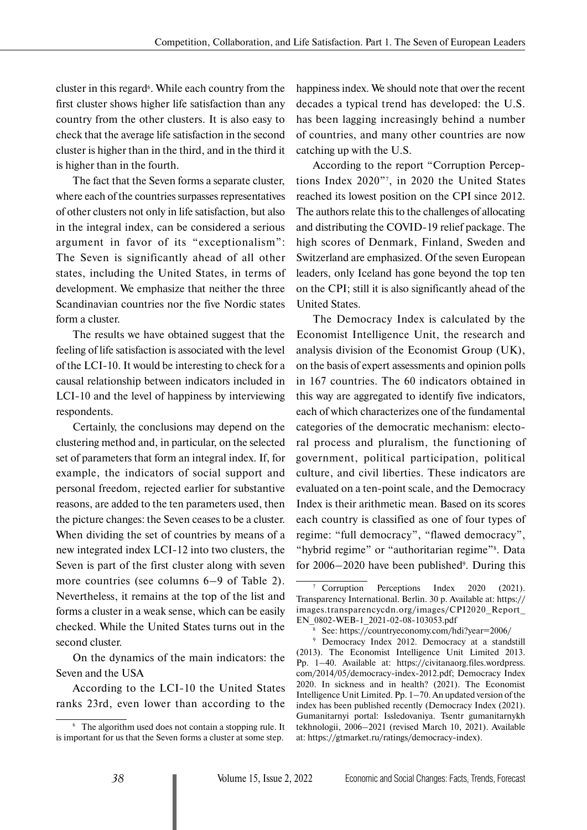cluster in this regard<sup>6</sup>. While each country from the first cluster shows higher life satisfaction than any country from the other clusters. It is also easy to check that the average life satisfaction in the second cluster is higher than in the third, and in the third it is higher than in the fourth.

The fact that the Seven forms a separate cluster, where each of the countries surpasses representatives of other clusters not only in life satisfaction, but also in the integral index, can be considered a serious argument in favor of its "exceptionalism": The Seven is significantly ahead of all other states, including the United States, in terms of development. We emphasize that neither the three Scandinavian countries nor the five Nordic states form a cluster.

The results we have obtained suggest that the feeling of life satisfaction is associated with the level of the LCI-10. It would be interesting to check for a causal relationship between indicators included in LCI-10 and the level of happiness by interviewing respondents.

Certainly, the conclusions may depend on the clustering method and, in particular, on the selected set of parameters that form an integral index. If, for example, the indicators of social support and personal freedom, rejected earlier for substantive reasons, are added to the ten parameters used, then the picture changes: the Seven ceases to be a cluster. When dividing the set of countries by means of a new integrated index LCI-12 into two clusters, the Seven is part of the first cluster along with seven more countries (see columns 6–9 of Table 2). Nevertheless, it remains at the top of the list and forms a cluster in a weak sense, which can be easily checked. While the United States turns out in the second cluster.

On the dynamics of the main indicators: the Seven and the USA

According to the LCI-10 the United States ranks 23rd, even lower than according to the

happiness index. We should note that over the recent decades a typical trend has developed: the U.S. has been lagging increasingly behind a number of countries, and many other countries are now catching up with the U.S.

According to the report "Corruption Perceptions Index 2020"7 , in 2020 the United States reached its lowest position on the CPI since 2012. The authors relate this to the challenges of allocating and distributing the COVID-19 relief package. The high scores of Denmark, Finland, Sweden and Switzerland are emphasized. Of the seven European leaders, only Iceland has gone beyond the top ten on the CPI; still it is also significantly ahead of the United States.

The Democracy Index is calculated by the Economist Intelligence Unit, the research and analysis division of the Economist Group (UK), on the basis of expert assessments and opinion polls in 167 countries. The 60 indicators obtained in this way are aggregated to identify five indicators, each of which characterizes one of the fundamental categories of the democratic mechanism: electoral process and pluralism, the functioning of government, political participation, political culture, and civil liberties. These indicators are evaluated on a ten-point scale, and the Democracy Index is their arithmetic mean. Based on its scores each country is classified as one of four types of regime: "full democracy", "flawed democracy", "hybrid regime" or "authoritarian regime"<sup>8</sup>. Data for  $2006 - 2020$  have been published<sup>9</sup>. During this

<sup>6</sup> The algorithm used does not contain a stopping rule. It is important for us that the Seven forms a cluster at some step.

<sup>7</sup> Corruption Perceptions Index 2020 (2021). Transparency International. Berlin. 30 p. Available at: https:// images.transparencycdn.org/images/CPI2020\_Report\_ EN\_0802-WEB-1\_2021-02-08-103053.pdf

<sup>8</sup> See: https://countryeconomy.com/hdi?year=2006/

<sup>9</sup> Democracy Index 2012. Democracy at a standstill (2013). The Economist Intelligence Unit Limited 2013. Pр. 1–40. Available at: https://civitanaorg.files.wordpress. com/2014/05/democracy-index-2012.pdf; Democracy Index 2020. In sickness and in health? (2021). The Economist Intelligence Unit Limited. Pр. 1–70. An updated version of the index has been published recently (Democracy Index (2021). Gumanitarnyi portal: Issledovaniya. Tsentr gumanitarnykh tekhnologii, 2006–2021 (revised March 10, 2021). Available at: https://gtmarket.ru/ratings/democracy-index).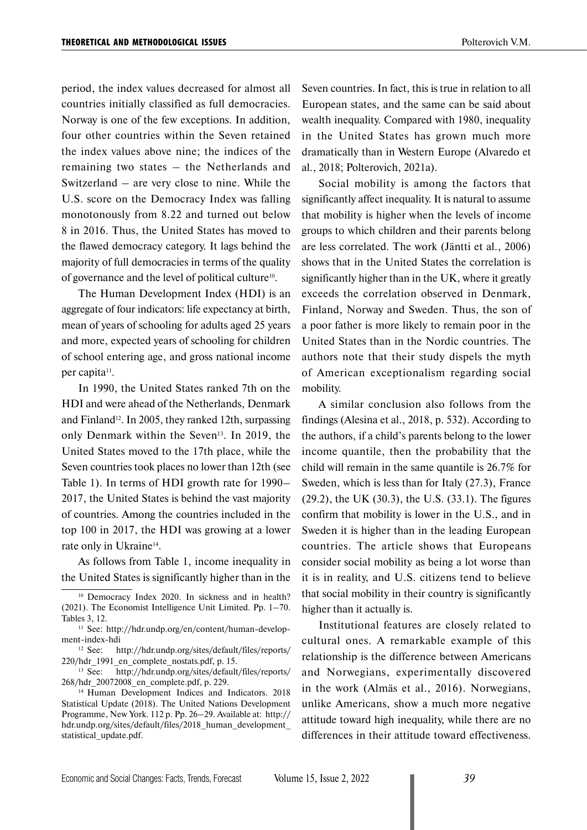period, the index values decreased for almost all countries initially classified as full democracies. Norway is one of the few exceptions. In addition, four other countries within the Seven retained the index values above nine; the indices of the remaining two states – the Netherlands and Switzerland – are very close to nine. While the U.S. score on the Democracy Index was falling monotonously from 8.22 and turned out below 8 in 2016. Thus, the United States has moved to the flawed democracy category. It lags behind the majority of full democracies in terms of the quality of governance and the level of political culture10.

The Human Development Index (HDI) is an aggregate of four indicators: life expectancy at birth, mean of years of schooling for adults aged 25 years and more, expected years of schooling for children of school entering age, and gross national income per capita<sup>11</sup>.

In 1990, the United States ranked 7th on the HDI and were ahead of the Netherlands, Denmark and Finland<sup>12</sup>. In 2005, they ranked 12th, surpassing only Denmark within the Seven<sup>13</sup>. In 2019, the United States moved to the 17th place, while the Seven countries took places no lower than 12th (see Table 1). In terms of HDI growth rate for 1990– 2017, the United States is behind the vast majority of countries. Among the countries included in the top 100 in 2017, the HDI was growing at a lower rate only in Ukraine<sup>14</sup>.

As follows from Table 1, income inequality in the United States is significantly higher than in the Seven countries. In fact, this is true in relation to all European states, and the same can be said about wealth inequality. Compared with 1980, inequality in the United States has grown much more dramatically than in Western Europe (Alvaredo et al., 2018; Polterovich, 2021a).

Social mobility is among the factors that significantly affect inequality. It is natural to assume that mobility is higher when the levels of income groups to which children and their parents belong are less correlated. The work (Jäntti et al., 2006) shows that in the United States the correlation is significantly higher than in the UK, where it greatly exceeds the correlation observed in Denmark, Finland, Norway and Sweden. Thus, the son of a poor father is more likely to remain poor in the United States than in the Nordic countries. The authors note that their study dispels the myth of American exceptionalism regarding social mobility.

A similar conclusion also follows from the findings (Alesina et al., 2018, p. 532). According to the authors, if a child's parents belong to the lower income quantile, then the probability that the child will remain in the same quantile is 26.7% for Sweden, which is less than for Italy (27.3), France (29.2), the UK (30.3), the U.S. (33.1). The figures confirm that mobility is lower in the U.S., and in Sweden it is higher than in the leading European countries. The article shows that Europeans consider social mobility as being a lot worse than it is in reality, and U.S. citizens tend to believe that social mobility in their country is significantly higher than it actually is.

Institutional features are closely related to cultural ones. A remarkable example of this relationship is the difference between Americans and Norwegians, experimentally discovered in the work (Almäs et al., 2016). Norwegians, unlike Americans, show a much more negative attitude toward high inequality, while there are no differences in their attitude toward effectiveness.

<sup>&</sup>lt;sup>10</sup> Democracy Index 2020. In sickness and in health? (2021). The Economist Intelligence Unit Limited. Pр. 1–70. Tables 3, 12.

<sup>&</sup>lt;sup>11</sup> See: http://hdr.undp.org/en/content/human-develop-

ment-index-hdi<br><sup>12</sup> See: h http://hdr.undp.org/sites/default/files/reports/ 220/hdr\_1991\_en\_complete\_nostats.pdf, p. 15.

<sup>13</sup> See: http://hdr.undp.org/sites/default/files/reports/ 268/hdr\_20072008\_en\_complete.pdf, p. 229.

<sup>&</sup>lt;sup>14</sup> Human Development Indices and Indicators. 2018 Statistical Update (2018). The United Nations Development Programme, New York. 112 p. Рр. 26–29. Available at: http:// hdr.undp.org/sites/default/files/2018 human development statistical\_update.pdf.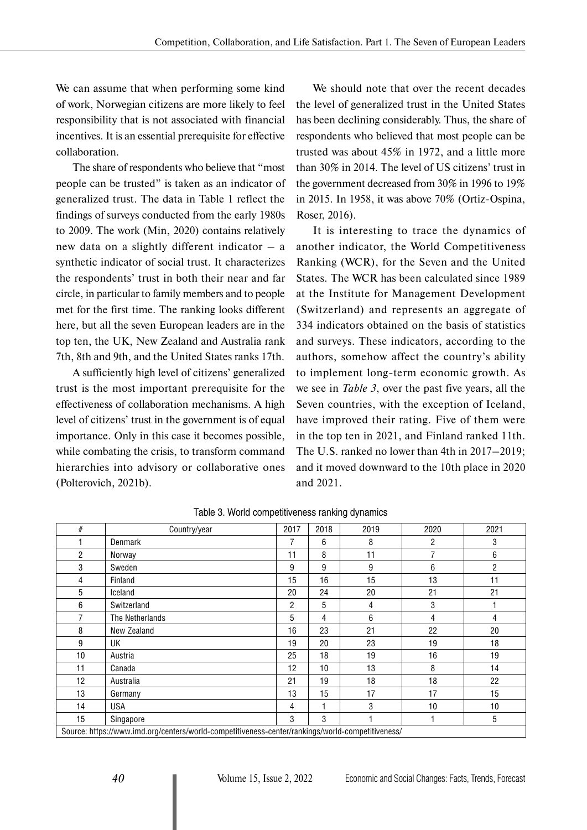We can assume that when performing some kind of work, Norwegian citizens are more likely to feel responsibility that is not associated with financial incentives. It is an essential prerequisite for effective collaboration.

The share of respondents who believe that "most people can be trusted" is taken as an indicator of generalized trust. The data in Table 1 reflect the findings of surveys conducted from the early 1980s to 2009. The work (Min, 2020) contains relatively new data on a slightly different indicator – a synthetic indicator of social trust. It characterizes the respondents' trust in both their near and far circle, in particular to family members and to people met for the first time. The ranking looks different here, but all the seven European leaders are in the top ten, the UK, New Zealand and Australia rank 7th, 8th and 9th, and the United States ranks 17th.

A sufficiently high level of citizens' generalized trust is the most important prerequisite for the effectiveness of collaboration mechanisms. A high level of citizens' trust in the government is of equal importance. Only in this case it becomes possible, while combating the crisis, to transform command hierarchies into advisory or collaborative ones (Polterovich, 2021b).

We should note that over the recent decades the level of generalized trust in the United States has been declining considerably. Thus, the share of respondents who believed that most people can be trusted was about 45% in 1972, and a little more than 30% in 2014. The level of US citizens' trust in the government decreased from 30% in 1996 to 19% in 2015. In 1958, it was above 70% (Ortiz-Ospina, Roser, 2016).

It is interesting to trace the dynamics of another indicator, the World Competitiveness Ranking (WCR), for the Seven and the United States. The WCR has been calculated since 1989 at the Institute for Management Development (Switzerland) and represents an aggregate of 334 indicators obtained on the basis of statistics and surveys. These indicators, according to the authors, somehow affect the country's ability to implement long-term economic growth. As we see in *Table 3*, over the past five years, all the Seven countries, with the exception of Iceland, have improved their rating. Five of them were in the top ten in 2021, and Finland ranked 11th. The U.S. ranked no lower than 4th in 2017–2019; and it moved downward to the 10th place in 2020 and 2021.

| $\#$                                                                                             | Country/year    | 2017           | 2018 | 2019             | 2020           | 2021 |  |  |
|--------------------------------------------------------------------------------------------------|-----------------|----------------|------|------------------|----------------|------|--|--|
|                                                                                                  | Denmark         | 7              | 6    | 8                | $\overline{2}$ | 3    |  |  |
| $\overline{2}$                                                                                   | Norway          | 11             | 8    | 11               | 7              | 6    |  |  |
| 3                                                                                                | Sweden          | 9              | 9    | 9                | 6              | 2    |  |  |
| 4                                                                                                | Finland         | 15             | 16   | 15               | 13             | 11   |  |  |
| 5                                                                                                | Iceland         | 20             | 24   | 20               | 21             | 21   |  |  |
| 6                                                                                                | Switzerland     | $\overline{2}$ | 5    | 4                | 3              |      |  |  |
| 7                                                                                                | The Netherlands | 5              | 4    | $\boldsymbol{6}$ | 4              | 4    |  |  |
| 8                                                                                                | New Zealand     | 16             | 23   | 21               | 22             | 20   |  |  |
| 9                                                                                                | <b>UK</b>       | 19             | 20   | 23               | 19             | 18   |  |  |
| 10                                                                                               | Austria         | 25             | 18   | 19               | 16             | 19   |  |  |
| 11                                                                                               | Canada          | 12             | 10   | 13               | 8              | 14   |  |  |
| 12                                                                                               | Australia       | 21             | 19   | 18               | 18             | 22   |  |  |
| 13                                                                                               | Germany         | 13             | 15   | 17               | 17             | 15   |  |  |
| 14                                                                                               | <b>USA</b>      | 4              | 1    | 3                | 10             | 10   |  |  |
| 15                                                                                               | Singapore       | 3              | 3    |                  |                | 5    |  |  |
| Source: https://www.imd.org/centers/world-competitiveness-center/rankings/world-competitiveness/ |                 |                |      |                  |                |      |  |  |

Table 3. World competitiveness ranking dynamics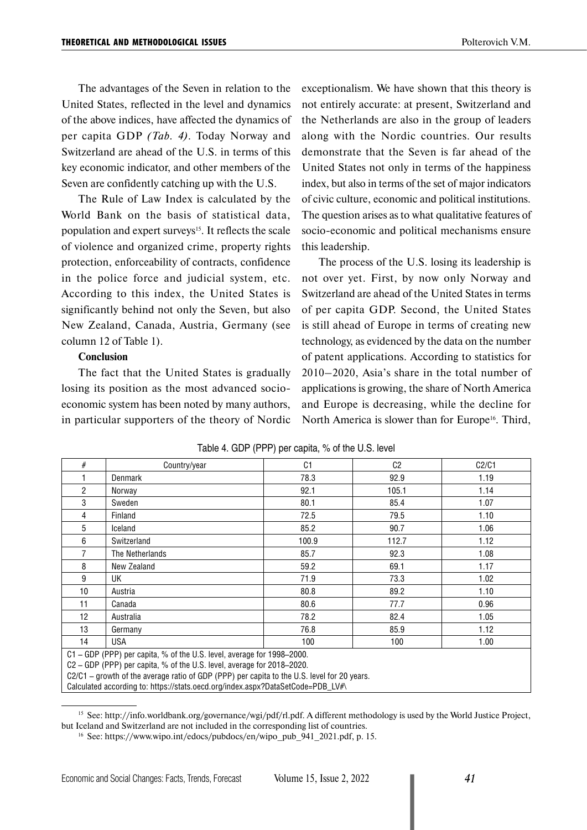The advantages of the Seven in relation to the United States, reflected in the level and dynamics of the above indices, have affected the dynamics of per capita GDP *(Tab. 4)*. Today Norway and Switzerland are ahead of the U.S. in terms of this key economic indicator, and other members of the Seven are confidently catching up with the U.S.

The Rule of Law Index is calculated by the World Bank on the basis of statistical data, population and expert surveys<sup>15</sup>. It reflects the scale of violence and organized crime, property rights protection, enforceability of contracts, confidence in the police force and judicial system, etc. According to this index, the United States is significantly behind not only the Seven, but also New Zealand, Canada, Austria, Germany (see column 12 of Table 1).

#### **Conclusion**

The fact that the United States is gradually losing its position as the most advanced socioeconomic system has been noted by many authors, in particular supporters of the theory of Nordic exceptionalism. We have shown that this theory is not entirely accurate: at present, Switzerland and the Netherlands are also in the group of leaders along with the Nordic countries. Our results demonstrate that the Seven is far ahead of the United States not only in terms of the happiness index, but also in terms of the set of major indicators of civic culture, economic and political institutions. The question arises as to what qualitative features of socio-economic and political mechanisms ensure this leadership.

The process of the U.S. losing its leadership is not over yet. First, by now only Norway and Switzerland are ahead of the United States in terms of per capita GDP. Second, the United States is still ahead of Europe in terms of creating new technology, as evidenced by the data on the number of patent applications. According to statistics for 2010–2020, Asia's share in the total number of applications is growing, the share of North America and Europe is decreasing, while the decline for North America is slower than for Europe<sup>16</sup>. Third,

| #                                                                                           | Country/year    | C <sub>1</sub> | C <sub>2</sub> | C2/C1 |  |  |  |
|---------------------------------------------------------------------------------------------|-----------------|----------------|----------------|-------|--|--|--|
|                                                                                             | Denmark         | 78.3           | 92.9           | 1.19  |  |  |  |
| $\mathfrak{p}$                                                                              | Norway          | 92.1           | 105.1          | 1.14  |  |  |  |
| 3                                                                                           | Sweden          | 80.1           | 85.4           | 1.07  |  |  |  |
| 4                                                                                           | Finland         | 72.5           | 79.5           | 1.10  |  |  |  |
| 5                                                                                           | Iceland         | 85.2           | 90.7           | 1.06  |  |  |  |
| 6                                                                                           | Switzerland     | 100.9          | 112.7          | 1.12  |  |  |  |
| 7                                                                                           | The Netherlands | 85.7           | 92.3           | 1.08  |  |  |  |
| 8                                                                                           | New Zealand     | 59.2           | 69.1           | 1.17  |  |  |  |
| 9                                                                                           | UK              | 71.9           | 73.3           | 1.02  |  |  |  |
| 10                                                                                          | Austria         | 80.8           | 89.2           | 1.10  |  |  |  |
| 11                                                                                          | Canada          | 80.6           | 77.7           | 0.96  |  |  |  |
| 12                                                                                          | Australia       | 78.2           | 82.4           | 1.05  |  |  |  |
| 13                                                                                          | Germany         | 76.8           | 85.9           | 1.12  |  |  |  |
| 14                                                                                          | <b>USA</b>      | 100            | 100            | 1.00  |  |  |  |
| C1 - GDP (PPP) per capita, % of the U.S. level, average for 1998-2000.                      |                 |                |                |       |  |  |  |
| C2 - GDP (PPP) per capita, % of the U.S. level, average for 2018-2020.                      |                 |                |                |       |  |  |  |
| C2/C1 – growth of the average ratio of GDP (PPP) per capita to the U.S. level for 20 years. |                 |                |                |       |  |  |  |
| Calculated according to: https://stats.oecd.org/index.aspx?DataSetCode=PDB_LV#\             |                 |                |                |       |  |  |  |

| Table 4. GDP (PPP) per capita, % of the U.S. level |  |  |  |  |
|----------------------------------------------------|--|--|--|--|
|----------------------------------------------------|--|--|--|--|

<sup>15</sup> See: [http://info.worldbank.org/governance/wgi/pdf/rl.pdf.](http://info.worldbank.org/governance/wgi/pdf/rl.pdf) A different methodology is used by the World Justice Project,

but Iceland and Switzerland are not included in the corresponding list of countries.<br><sup>16</sup> See: https://www.wipo.int/edocs/pubdocs/en/wipo\_pub\_941\_2021.pdf, p. 15.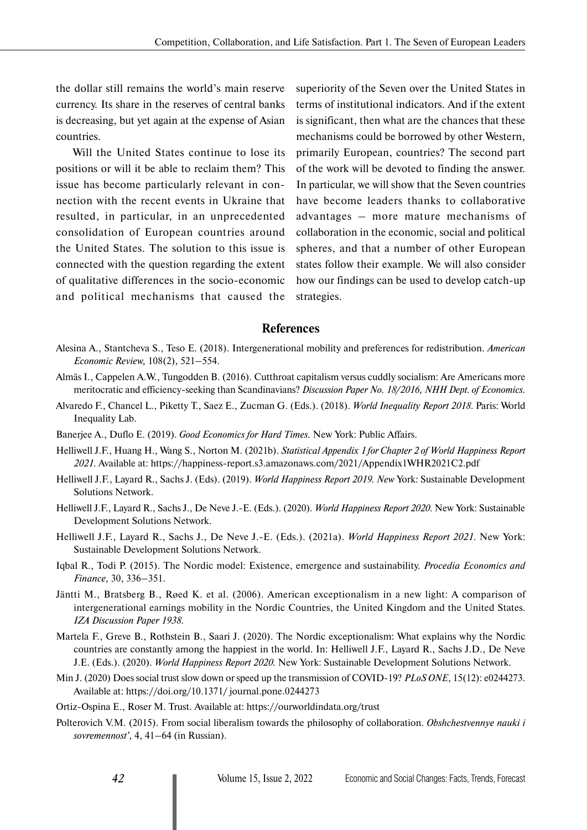the dollar still remains the world's main reserve currency. Its share in the reserves of central banks is decreasing, but yet again at the expense of Asian countries.

Will the United States continue to lose its positions or will it be able to reclaim them? This issue has become particularly relevant in connection with the recent events in Ukraine that resulted, in particular, in an unprecedented consolidation of European countries around the United States. The solution to this issue is connected with the question regarding the extent of qualitative differences in the socio-economic and political mechanisms that caused the superiority of the Seven over the United States in terms of institutional indicators. And if the extent is significant, then what are the chances that these mechanisms could be borrowed by other Western, primarily European, countries? The second part of the work will be devoted to finding the answer. In particular, we will show that the Seven countries have become leaders thanks to collaborative advantages – more mature mechanisms of collaboration in the economic, social and political spheres, and that a number of other European states follow their example. We will also consider how our findings can be used to develop catch-up strategies.

### **References**

- Alesina A., Stantcheva S., Teso E. (2018). Intergenerational mobility and preferences for redistribution. *American Economic Review,* 108(2), 521–554.
- Almäs I., Cappelen A.W., Tungodden B. (2016). Cutthroat capitalism versus cuddly socialism: Are Americans more meritocratic and efficiency-seeking than Scandinavians? *Discussion Paper No. 18/2016, NHH Dept. of Economics.*
- Alvaredo F., Chancel L., Piketty T., Saez E., Zucman G. (Eds.). (2018). *World Inequality Report 2018*. Paris: World Inequality Lab.
- Banerjee A., Duflo E. (2019). *Good Economics for Hard Times.* New York: Public Affairs.
- Helliwell J.F., Huang H., Wang S., Norton M. (2021b). *Statistical Appendix 1 for Chapter 2 of World Happiness Report 2021*. Available at: https://happiness-report.s3.amazonaws.com/2021/Appendix1WHR2021C2.pdf
- Helliwell J.F., Layard R., Sachs J. (Eds). (2019). *World Happiness Report 2019. New* York: Sustainable Development Solutions Network.
- Helliwell J.F., Layard R., Sachs J., De Neve J.-E. (Eds.). (2020). *World Happiness Report 2020*. New York: Sustainable Development Solutions Network.
- Helliwell J.F., Layard R., Sachs J., De Neve J.-E. (Eds.). (2021а). *World Happiness Report 2021*. New York: Sustainable Development Solutions Network.
- Iqbal R., Todi P. (2015). The Nordic model: Existence, emergence and sustainability. *Procedia Economics and Finance,* 30, 336–351.
- Jäntti M., Bratsberg B., Røed K. et al. (2006). American exceptionalism in a new light: A comparison of intergenerational earnings mobility in the Nordic Countries, the United Kingdom and the United States. *IZA Discussion Paper 1938*.
- Martela F., Greve B., Rothstein B., Saari J. (2020). The Nordic exceptionalism: What explains why the Nordic countries are constantly among the happiest in the world. In: Helliwell J.F., Layard R., Sachs J.D., De Neve J.E. (Eds.). (2020). *World Happiness Report 2020.* New York: Sustainable Development Solutions Network.
- Min J. (2020) Does social trust slow down or speed up the transmission of COVID-19? *PLoS ONE*, 15(12): e0244273. Available at: https://doi.org/10.1371/ journal.pone.0244273
- Ortiz-Ospina E., Roser M. Trust. Available at: https://ourworldindata.org/trust
- Polterovich V.M. (2015). From social liberalism towards the philosophy of collaboration. *Obshchestvennye nauki i sovremennost',* 4, 41–64 (in Russian).